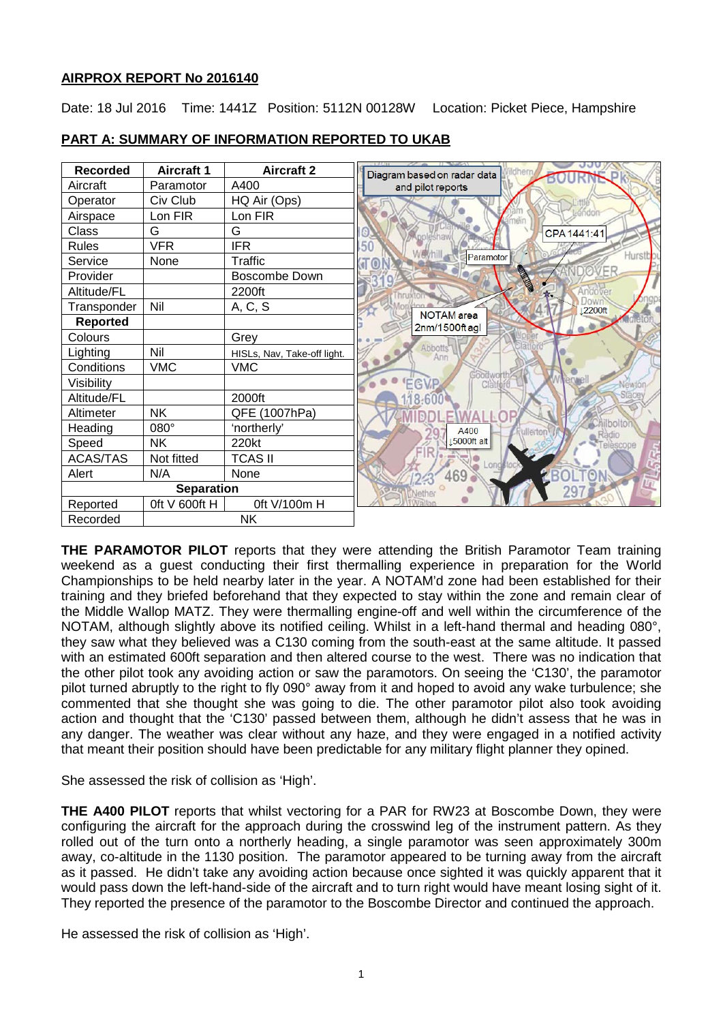## **AIRPROX REPORT No 2016140**

Date: 18 Jul 2016 Time: 1441Z Position: 5112N 00128W Location: Picket Piece, Hampshire

| <b>Recorded</b>       | <b>Aircraft 1</b> | <b>Aircraft 2</b>           | Diagram based on radar data         |
|-----------------------|-------------------|-----------------------------|-------------------------------------|
| Aircraft              | Paramotor         | A400                        | and pilot reports                   |
| Operator              | Civ Club          | HQ Air (Ops)                |                                     |
| Airspace              | Lon FIR           | Lon FIR                     | -endo                               |
| Class                 | G                 | G                           | CPA 1441:41<br>esha                 |
| <b>Rules</b>          | <b>VFR</b>        | <b>IFR</b>                  | .50                                 |
| Service               | None              | Traffic                     | Hurstb<br>Paramotor                 |
| Provider              |                   | <b>Boscombe Down</b>        | FR<br><b>REA</b>                    |
| Altitude/FL           |                   | 2200ft                      |                                     |
| Transponder           | Nil               | A, C, S                     | 2200ft                              |
| Reported              |                   |                             | <b>NOTAM</b> area<br>2nm/1500ft agl |
| Colours               |                   | Grey                        |                                     |
| Lighting              | Nil               | HISLs, Nav, Take-off light. | Abbotts<br>Ann                      |
| Conditions            | <b>VMC</b>        | <b>VMC</b>                  |                                     |
| Visibility            |                   |                             | EGVP<br>Clàtfé                      |
| Altitude/FL           |                   | 2000ft                      |                                     |
| Altimeter             | <b>NK</b>         | QFE (1007hPa)               |                                     |
| Heading               | $080^\circ$       | 'northerly'                 | bolto<br>A400<br>allerto            |
| Speed                 | NΚ                | 220kt                       | 15000ft alt                         |
| <b>ACAS/TAS</b>       | Not fitted        | <b>TCAS II</b>              |                                     |
| Alert                 | N/A               | None                        | 469                                 |
| <b>Separation</b>     |                   |                             |                                     |
| Reported              | Oft V 600ft H     | 0ft V/100m H                |                                     |
| <b>NK</b><br>Recorded |                   |                             |                                     |

# **PART A: SUMMARY OF INFORMATION REPORTED TO UKAB**

**THE PARAMOTOR PILOT** reports that they were attending the British Paramotor Team training weekend as a guest conducting their first thermalling experience in preparation for the World Championships to be held nearby later in the year. A NOTAM'd zone had been established for their training and they briefed beforehand that they expected to stay within the zone and remain clear of the Middle Wallop MATZ. They were thermalling engine-off and well within the circumference of the NOTAM, although slightly above its notified ceiling. Whilst in a left-hand thermal and heading 080°, they saw what they believed was a C130 coming from the south-east at the same altitude. It passed with an estimated 600ft separation and then altered course to the west. There was no indication that the other pilot took any avoiding action or saw the paramotors. On seeing the 'C130', the paramotor pilot turned abruptly to the right to fly 090° away from it and hoped to avoid any wake turbulence; she commented that she thought she was going to die. The other paramotor pilot also took avoiding action and thought that the 'C130' passed between them, although he didn't assess that he was in any danger. The weather was clear without any haze, and they were engaged in a notified activity that meant their position should have been predictable for any military flight planner they opined.

She assessed the risk of collision as 'High'.

**THE A400 PILOT** reports that whilst vectoring for a PAR for RW23 at Boscombe Down, they were configuring the aircraft for the approach during the crosswind leg of the instrument pattern. As they rolled out of the turn onto a northerly heading, a single paramotor was seen approximately 300m away, co-altitude in the 1130 position. The paramotor appeared to be turning away from the aircraft as it passed. He didn't take any avoiding action because once sighted it was quickly apparent that it would pass down the left-hand-side of the aircraft and to turn right would have meant losing sight of it. They reported the presence of the paramotor to the Boscombe Director and continued the approach.

He assessed the risk of collision as 'High'.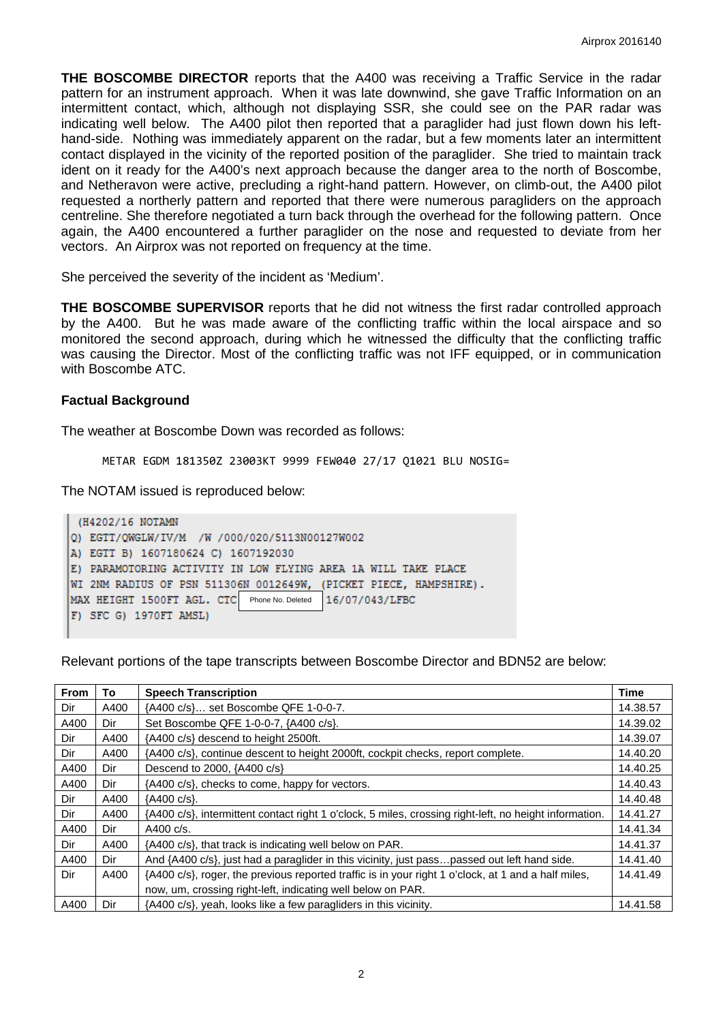**THE BOSCOMBE DIRECTOR** reports that the A400 was receiving a Traffic Service in the radar pattern for an instrument approach. When it was late downwind, she gave Traffic Information on an intermittent contact, which, although not displaying SSR, she could see on the PAR radar was indicating well below. The A400 pilot then reported that a paraglider had just flown down his lefthand-side. Nothing was immediately apparent on the radar, but a few moments later an intermittent contact displayed in the vicinity of the reported position of the paraglider. She tried to maintain track ident on it ready for the A400's next approach because the danger area to the north of Boscombe, and Netheravon were active, precluding a right-hand pattern. However, on climb-out, the A400 pilot requested a northerly pattern and reported that there were numerous paragliders on the approach centreline. She therefore negotiated a turn back through the overhead for the following pattern. Once again, the A400 encountered a further paraglider on the nose and requested to deviate from her vectors. An Airprox was not reported on frequency at the time.

She perceived the severity of the incident as 'Medium'.

**THE BOSCOMBE SUPERVISOR** reports that he did not witness the first radar controlled approach by the A400. But he was made aware of the conflicting traffic within the local airspace and so monitored the second approach, during which he witnessed the difficulty that the conflicting traffic was causing the Director. Most of the conflicting traffic was not IFF equipped, or in communication with Boscombe ATC.

#### **Factual Background**

The weather at Boscombe Down was recorded as follows:

METAR EGDM 181350Z 23003KT 9999 FEW040 27/17 Q1021 BLU NOSIG=

The NOTAM issued is reproduced below:

```
(H4202/16 NOTAMN
Q) EGTT/QWGLW/IV/M /W /000/020/5113N00127W002
A) EGTT B) 1607180624 C) 1607192030
E) PARAMOTORING ACTIVITY IN LOW FLYING AREA 1A WILL TAKE PLACE
WI 2NM RADIUS OF PSN 511306N 0012649W, (PICKET PIECE, HAMPSHIRE).
MAX HEIGHT 1500FT AGL. CTC
                           Phone No. Deleted16/07/043/LFBC
F) SFC G) 1970FT AMSL)
```
Relevant portions of the tape transcripts between Boscombe Director and BDN52 are below:

| <b>From</b> | To   | <b>Speech Transcription</b>                                                                            |          |
|-------------|------|--------------------------------------------------------------------------------------------------------|----------|
| Dir         | A400 | {A400 c/s} set Boscombe QFE 1-0-0-7.                                                                   |          |
| A400        | Dir  | Set Boscombe QFE 1-0-0-7, {A400 c/s}.                                                                  |          |
| Dir         | A400 | {A400 c/s} descend to height 2500ft.                                                                   |          |
| Dir         | A400 | {A400 c/s}, continue descent to height 2000ft, cockpit checks, report complete.                        |          |
| A400        | Dir  | Descend to 2000, {A400 c/s}                                                                            |          |
| A400        | Dir  | {A400 c/s}, checks to come, happy for vectors.                                                         |          |
| Dir         | A400 | {A400 c/s}.                                                                                            |          |
| Dir         | A400 | {A400 c/s}, intermittent contact right 1 o'clock, 5 miles, crossing right-left, no height information. |          |
| A400        | Dir  | A400 $c/s$ .                                                                                           |          |
| Dir         | A400 | {A400 c/s}, that track is indicating well below on PAR.                                                |          |
| A400        | Dir  | And {A400 c/s}, just had a paraglider in this vicinity, just passpassed out left hand side.            |          |
| Dir         | A400 | {A400 c/s}, roger, the previous reported traffic is in your right 1 o'clock, at 1 and a half miles,    |          |
|             |      | now, um, crossing right-left, indicating well below on PAR.                                            |          |
| A400        | Dir  | {A400 c/s}, yeah, looks like a few paragliders in this vicinity.                                       | 14.41.58 |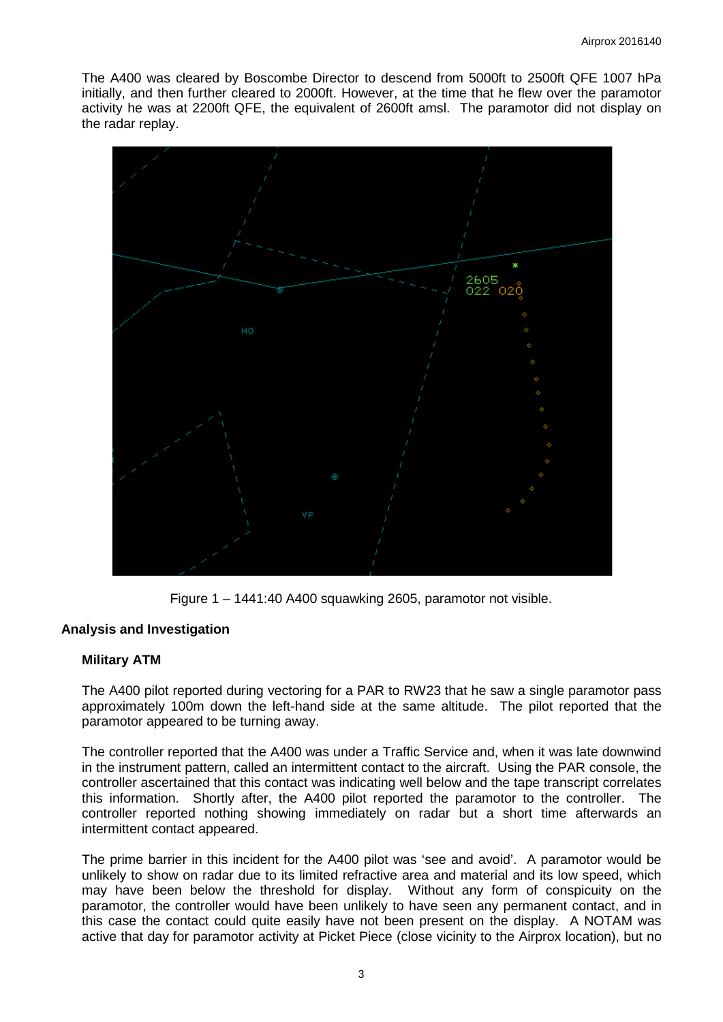The A400 was cleared by Boscombe Director to descend from 5000ft to 2500ft QFE 1007 hPa initially, and then further cleared to 2000ft. However, at the time that he flew over the paramotor activity he was at 2200ft QFE, the equivalent of 2600ft amsl. The paramotor did not display on the radar replay.



Figure 1 – 1441:40 A400 squawking 2605, paramotor not visible.

### **Analysis and Investigation**

### **Military ATM**

The A400 pilot reported during vectoring for a PAR to RW23 that he saw a single paramotor pass approximately 100m down the left-hand side at the same altitude. The pilot reported that the paramotor appeared to be turning away.

The controller reported that the A400 was under a Traffic Service and, when it was late downwind in the instrument pattern, called an intermittent contact to the aircraft. Using the PAR console, the controller ascertained that this contact was indicating well below and the tape transcript correlates this information. Shortly after, the A400 pilot reported the paramotor to the controller. The controller reported nothing showing immediately on radar but a short time afterwards an intermittent contact appeared.

The prime barrier in this incident for the A400 pilot was 'see and avoid'. A paramotor would be unlikely to show on radar due to its limited refractive area and material and its low speed, which may have been below the threshold for display. Without any form of conspicuity on the paramotor, the controller would have been unlikely to have seen any permanent contact, and in this case the contact could quite easily have not been present on the display. A NOTAM was active that day for paramotor activity at Picket Piece (close vicinity to the Airprox location), but no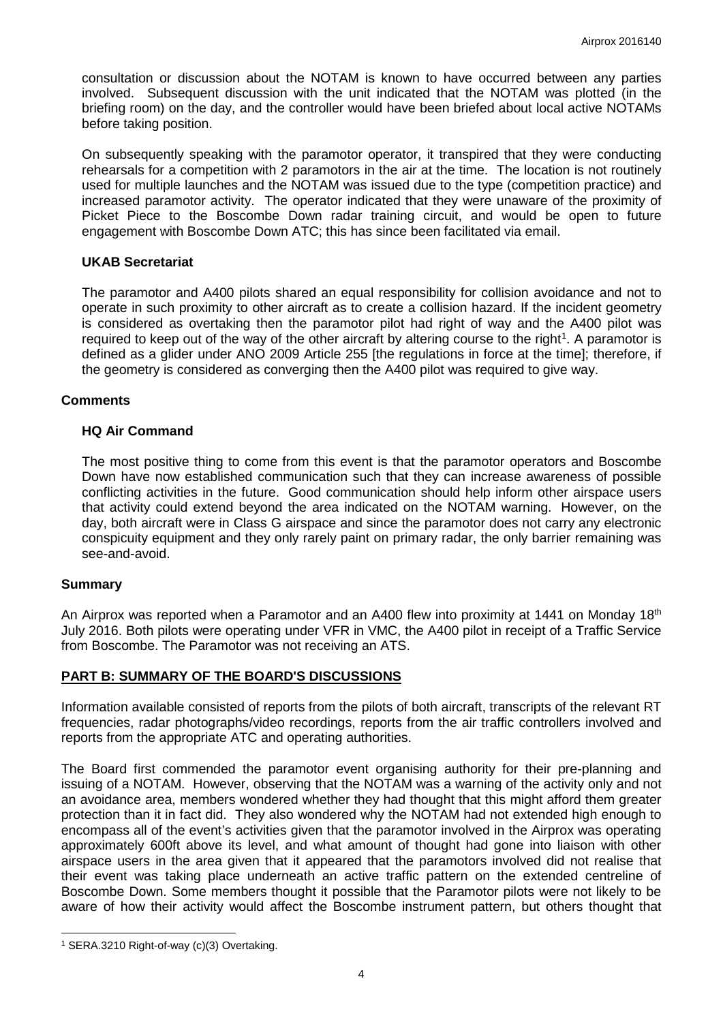consultation or discussion about the NOTAM is known to have occurred between any parties involved. Subsequent discussion with the unit indicated that the NOTAM was plotted (in the briefing room) on the day, and the controller would have been briefed about local active NOTAMs before taking position.

On subsequently speaking with the paramotor operator, it transpired that they were conducting rehearsals for a competition with 2 paramotors in the air at the time. The location is not routinely used for multiple launches and the NOTAM was issued due to the type (competition practice) and increased paramotor activity. The operator indicated that they were unaware of the proximity of Picket Piece to the Boscombe Down radar training circuit, and would be open to future engagement with Boscombe Down ATC; this has since been facilitated via email.

### **UKAB Secretariat**

The paramotor and A400 pilots shared an equal responsibility for collision avoidance and not to operate in such proximity to other aircraft as to create a collision hazard. If the incident geometry is considered as overtaking then the paramotor pilot had right of way and the A400 pilot was required to keep out of the way of the other aircraft by altering course to the right<sup>[1](#page-3-0)</sup>. A paramotor is defined as a glider under ANO 2009 Article 255 [the regulations in force at the time]; therefore, if the geometry is considered as converging then the A400 pilot was required to give way.

### **Comments**

### **HQ Air Command**

The most positive thing to come from this event is that the paramotor operators and Boscombe Down have now established communication such that they can increase awareness of possible conflicting activities in the future. Good communication should help inform other airspace users that activity could extend beyond the area indicated on the NOTAM warning. However, on the day, both aircraft were in Class G airspace and since the paramotor does not carry any electronic conspicuity equipment and they only rarely paint on primary radar, the only barrier remaining was see-and-avoid.

### **Summary**

 $\overline{\phantom{a}}$ 

An Airprox was reported when a Paramotor and an A400 flew into proximity at 1441 on Monday 18<sup>th</sup> July 2016. Both pilots were operating under VFR in VMC, the A400 pilot in receipt of a Traffic Service from Boscombe. The Paramotor was not receiving an ATS.

# **PART B: SUMMARY OF THE BOARD'S DISCUSSIONS**

Information available consisted of reports from the pilots of both aircraft, transcripts of the relevant RT frequencies, radar photographs/video recordings, reports from the air traffic controllers involved and reports from the appropriate ATC and operating authorities.

The Board first commended the paramotor event organising authority for their pre-planning and issuing of a NOTAM. However, observing that the NOTAM was a warning of the activity only and not an avoidance area, members wondered whether they had thought that this might afford them greater protection than it in fact did. They also wondered why the NOTAM had not extended high enough to encompass all of the event's activities given that the paramotor involved in the Airprox was operating approximately 600ft above its level, and what amount of thought had gone into liaison with other airspace users in the area given that it appeared that the paramotors involved did not realise that their event was taking place underneath an active traffic pattern on the extended centreline of Boscombe Down. Some members thought it possible that the Paramotor pilots were not likely to be aware of how their activity would affect the Boscombe instrument pattern, but others thought that

<span id="page-3-0"></span><sup>1</sup> SERA.3210 Right-of-way (c)(3) Overtaking.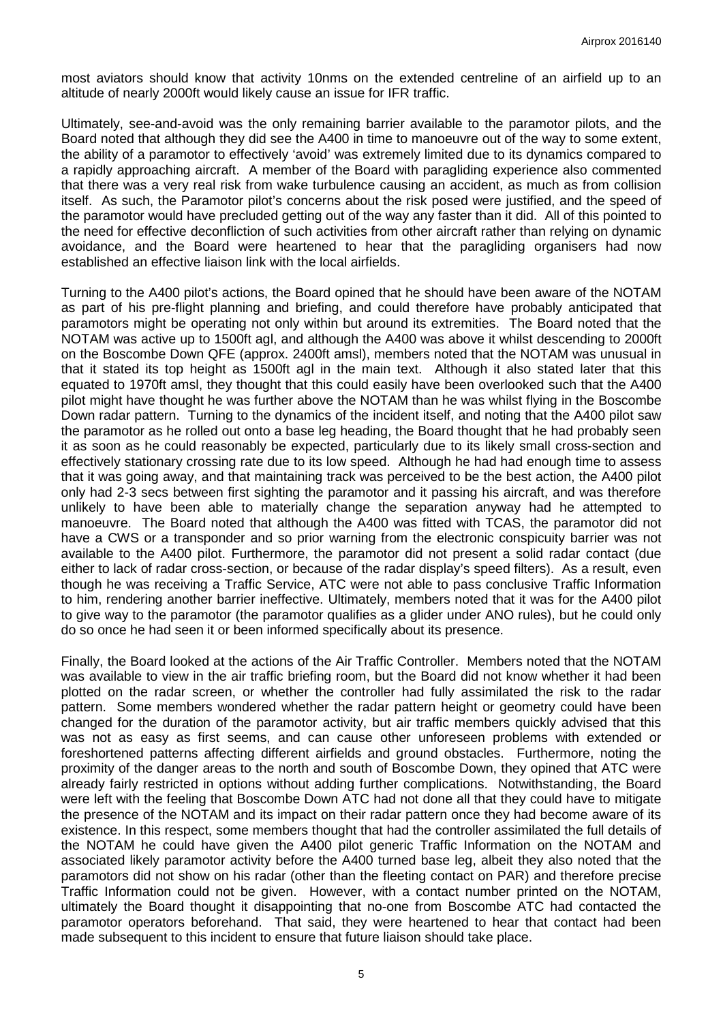most aviators should know that activity 10nms on the extended centreline of an airfield up to an altitude of nearly 2000ft would likely cause an issue for IFR traffic.

Ultimately, see-and-avoid was the only remaining barrier available to the paramotor pilots, and the Board noted that although they did see the A400 in time to manoeuvre out of the way to some extent, the ability of a paramotor to effectively 'avoid' was extremely limited due to its dynamics compared to a rapidly approaching aircraft. A member of the Board with paragliding experience also commented that there was a very real risk from wake turbulence causing an accident, as much as from collision itself. As such, the Paramotor pilot's concerns about the risk posed were justified, and the speed of the paramotor would have precluded getting out of the way any faster than it did. All of this pointed to the need for effective deconfliction of such activities from other aircraft rather than relying on dynamic avoidance, and the Board were heartened to hear that the paragliding organisers had now established an effective liaison link with the local airfields.

Turning to the A400 pilot's actions, the Board opined that he should have been aware of the NOTAM as part of his pre-flight planning and briefing, and could therefore have probably anticipated that paramotors might be operating not only within but around its extremities. The Board noted that the NOTAM was active up to 1500ft agl, and although the A400 was above it whilst descending to 2000ft on the Boscombe Down QFE (approx. 2400ft amsl), members noted that the NOTAM was unusual in that it stated its top height as 1500ft agl in the main text. Although it also stated later that this equated to 1970ft amsl, they thought that this could easily have been overlooked such that the A400 pilot might have thought he was further above the NOTAM than he was whilst flying in the Boscombe Down radar pattern. Turning to the dynamics of the incident itself, and noting that the A400 pilot saw the paramotor as he rolled out onto a base leg heading, the Board thought that he had probably seen it as soon as he could reasonably be expected, particularly due to its likely small cross-section and effectively stationary crossing rate due to its low speed. Although he had had enough time to assess that it was going away, and that maintaining track was perceived to be the best action, the A400 pilot only had 2-3 secs between first sighting the paramotor and it passing his aircraft, and was therefore unlikely to have been able to materially change the separation anyway had he attempted to manoeuvre. The Board noted that although the A400 was fitted with TCAS, the paramotor did not have a CWS or a transponder and so prior warning from the electronic conspicuity barrier was not available to the A400 pilot. Furthermore, the paramotor did not present a solid radar contact (due either to lack of radar cross-section, or because of the radar display's speed filters). As a result, even though he was receiving a Traffic Service, ATC were not able to pass conclusive Traffic Information to him, rendering another barrier ineffective. Ultimately, members noted that it was for the A400 pilot to give way to the paramotor (the paramotor qualifies as a glider under ANO rules), but he could only do so once he had seen it or been informed specifically about its presence.

Finally, the Board looked at the actions of the Air Traffic Controller. Members noted that the NOTAM was available to view in the air traffic briefing room, but the Board did not know whether it had been plotted on the radar screen, or whether the controller had fully assimilated the risk to the radar pattern. Some members wondered whether the radar pattern height or geometry could have been changed for the duration of the paramotor activity, but air traffic members quickly advised that this was not as easy as first seems, and can cause other unforeseen problems with extended or foreshortened patterns affecting different airfields and ground obstacles. Furthermore, noting the proximity of the danger areas to the north and south of Boscombe Down, they opined that ATC were already fairly restricted in options without adding further complications. Notwithstanding, the Board were left with the feeling that Boscombe Down ATC had not done all that they could have to mitigate the presence of the NOTAM and its impact on their radar pattern once they had become aware of its existence. In this respect, some members thought that had the controller assimilated the full details of the NOTAM he could have given the A400 pilot generic Traffic Information on the NOTAM and associated likely paramotor activity before the A400 turned base leg, albeit they also noted that the paramotors did not show on his radar (other than the fleeting contact on PAR) and therefore precise Traffic Information could not be given. However, with a contact number printed on the NOTAM, ultimately the Board thought it disappointing that no-one from Boscombe ATC had contacted the paramotor operators beforehand. That said, they were heartened to hear that contact had been made subsequent to this incident to ensure that future liaison should take place.